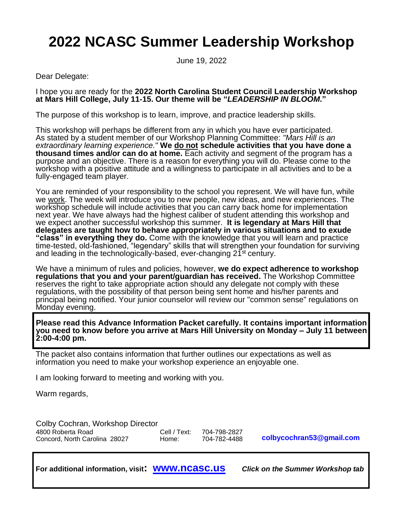# **2022 NCASC Summer Leadership Workshop**

June 19, 2022

Dear Delegate:

I hope you are ready for the **2022 North Carolina Student Council Leadership Workshop at Mars Hill College, July 11-15. Our theme will be "***LEADERSHIP IN BLOOM.***"**

The purpose of this workshop is to learn, improve, and practice leadership skills.

This workshop will perhaps be different from any in which you have ever participated. As stated by a student member of our Workshop Planning Committee: *"Mars Hill is an extraordinary learning experience."* **We do not schedule activities that you have done a thousand times and/or can do at home.** Each activity and segment of the program has a purpose and an objective. There is a reason for everything you will do. Please come to the workshop with a positive attitude and a willingness to participate in all activities and to be a fully-engaged team player.

You are reminded of your responsibility to the school you represent. We will have fun, while we work. The week will introduce you to new people, new ideas, and new experiences. The workshop schedule will include activities that you can carry back home for implementation next year. We have always had the highest caliber of student attending this workshop and we expect another successful workshop this summer. **It is legendary at Mars Hill that delegates are taught how to behave appropriately in various situations and to exude "class" in everything they do.** Come with the knowledge that you will learn and practice time-tested, old-fashioned, "legendary" skills that will strengthen your foundation for surviving and leading in the technologically-based, ever-changing 21<sup>st</sup> century.

We have a minimum of rules and policies, however, **we do expect adherence to workshop regulations that you and your parent/guardian has received.** The Workshop Committee reserves the right to take appropriate action should any delegate not comply with these regulations, with the possibility of that person being sent home and his/her parents and principal being notified. Your junior counselor will review our "common sense" regulations on Monday evening.

**Please read this Advance Information Packet carefully. It contains important information you need to know before you arrive at Mars Hill University on Monday – July 11 between 2:00-4:00 pm.**

The packet also contains information that further outlines our expectations as well as information you need to make your workshop experience an enjoyable one.

I am looking forward to meeting and working with you.

Warm regards,

**[colbycochran53@gmail.com](mailto:colbycochran53@gmail.com)** Colby Cochran, Workshop Director 4800 Roberta Road (28027 Cell / Text: 704-798-2827 Concord. North Carolina 28027 Cell / Text: 704-782-4488 Concord, North Carolina 28027 Home:

**For additional information, visit: [www.ncasc.us](http://www.ncasc.us/)** *Click on the Summer Workshop tab*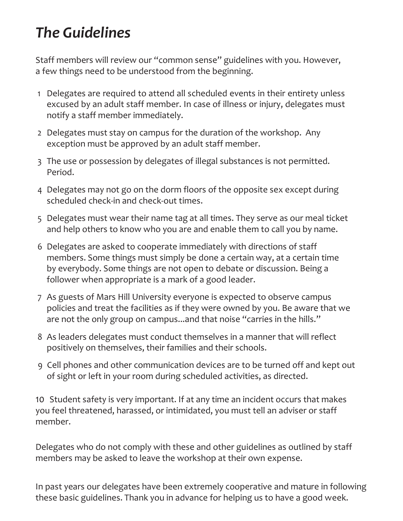# *The Guidelines*

Staff members will review our "common sense" guidelines with you. However, a few things need to be understood from the beginning.

- 1 Delegates are required to attend all scheduled events in their entirety unless excused by an adult staff member. In case of illness or injury, delegates must notify a staff member immediately.
- 2 Delegates must stay on campus for the duration of the workshop. Any exception must be approved by an adult staff member.
- 3 The use or possession by delegates of illegal substances is not permitted. Period.
- 4 Delegates may not go on the dorm floors of the opposite sex except during scheduled check-in and check-out times.
- 5 Delegates must wear their name tag at all times. They serve as our meal ticket and help others to know who you are and enable them to call you by name.
- 6 Delegates are asked to cooperate immediately with directions of staff members. Some things must simply be done a certain way, at a certain time by everybody. Some things are not open to debate or discussion. Being a follower when appropriate is a mark of a good leader.
- 7 As guests of Mars Hill University everyone is expected to observe campus policies and treat the facilities as if they were owned by you. Be aware that we are not the only group on campus...and that noise "carries in the hills."
- 8 As leaders delegates must conduct themselves in a manner that will reflect positively on themselves, their families and their schools.
- 9 Cell phones and other communication devices are to be turned off and kept out of sight or left in your room during scheduled activities, as directed.

10 Student safety is very important. If at any time an incident occurs that makes you feel threatened, harassed, or intimidated, you must tell an adviser or staff member.

Delegates who do not comply with these and other guidelines as outlined by staff members may be asked to leave the workshop at their own expense.

In past years our delegates have been extremely cooperative and mature in following these basic guidelines. Thank you in advance for helping us to have a good week.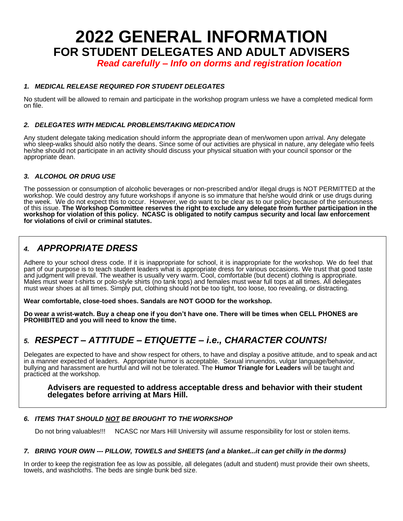# **2022 GENERAL INFORMATION FOR STUDENT DELEGATES AND ADULT ADVISERS**

*Read carefully – Info on dorms and registration location*

## *1. MEDICAL RELEASE REQUIRED FOR STUDENT DELEGATES*

No student will be allowed to remain and participate in the workshop program unless we have a completed medical form on file.

### *2. DELEGATES WITH MEDICAL PROBLEMS/TAKING MEDICATION*

Any student delegate taking medication should inform the appropriate dean of men/women upon arrival. Any delegate who sleep-walks should also notify the deans. Since some of our activities are physical in nature, any delegate who feels he/she should not participate in an activity should discuss your physical situation with your council sponsor or the appropriate dean.

### *3. ALCOHOL OR DRUG USE*

The possession or consumption of alcoholic beverages or non-prescribed and/or illegal drugs is NOT PERMITTED at the workshop. We could destroy any future workshops if anyone is so immature that he/she would drink or use drugs during the week. We do not expect this to occur. However, we do want to be clear as to our policy because of the seriousness of this issue. **The Workshop Committee reserves the right to exclude any delegate from further participation in the workshop for violation of this policy. NCASC is obligated to notify campus security and local law enforcement for violations of civil or criminal statutes.**

# *4. APPROPRIATE DRESS*

Adhere to your school dress code. If it is inappropriate for school, it is inappropriate for the workshop. We do feel that part of our purpose is to teach student leaders what is appropriate dress for various occasions. We trust that good taste and judgment will prevail. The weather is usually very warm. Cool, comfortable (but decent) clothing is appropriate. Males must wear t-shirts or polo-style shirts (no tank tops) and females must wear full tops at all times. All delegates must wear shoes at all times. Simply put, clothing should not be too tight, too loose, too revealing, or distracting.

**Wear comfortable, close-toed shoes. Sandals are NOT GOOD for the workshop.**

**Do wear a wrist-watch. Buy a cheap one if you don't have one. There will be times when CELL PHONES are PROHIBITED and you will need to know the time.**

# *5. RESPECT – ATTITUDE – ETIQUETTE – i.e., CHARACTER COUNTS!*

Delegates are expected to have and show respect for others, to have and display a positive attitude, and to speak and act in a manner expected of leaders. Appropriate humor is acceptable. Sexual innuendos, vulgar language/behavior, bullying and harassment are hurtful and will not be tolerated. The **Humor Triangle for Leaders** will be taught and practiced at the workshop.

**Advisers are requested to address acceptable dress and behavior with their student delegates before arriving at Mars Hill.**

### *6. ITEMS THAT SHOULD NOT BE BROUGHT TO THE WORKSHOP*

Do not bring valuables!!! NCASC nor Mars Hill University will assume responsibility for lost or stolen items.

#### *7. BRING YOUR OWN --- PILLOW, TOWELS and SHEETS (and a blanket...it can get chilly in the dorms)*

In order to keep the registration fee as low as possible, all delegates (adult and student) must provide their own sheets, towels, and washcloths. The beds are single bunk bed size.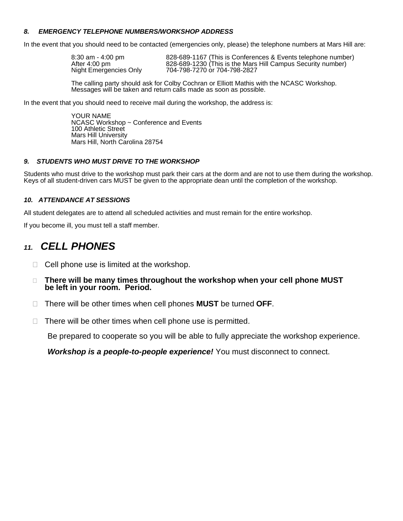### *8. EMERGENCY TELEPHONE NUMBERS/WORKSHOP ADDRESS*

In the event that you should need to be contacted (emergencies only, please) the telephone numbers at Mars Hill are:

| 8:30 am - 4:00 pm      | 828-689-1167 (This is Conferences & Events telephone number) |
|------------------------|--------------------------------------------------------------|
| After 4:00 pm          | 828-689-1230 (This is the Mars Hill Campus Security number)  |
| Night Emergencies Only | 704-798-7270 or 704-798-2827                                 |

The calling party should ask for Colby Cochran or Elliott Mathis with the NCASC Workshop. Messages will be taken and return calls made as soon as possible.

In the event that you should need to receive mail during the workshop, the address is:

YOUR NAME NCASC Workshop ~ Conference and Events 100 Athletic Street Mars Hill University Mars Hill, North Carolina 28754

### *9. STUDENTS WHO MUST DRIVE TO THE WORKSHOP*

Students who must drive to the workshop must park their cars at the dorm and are not to use them during the workshop. Keys of all student-driven cars MUST be given to the appropriate dean until the completion of the workshop.

### *10. ATTENDANCE AT SESSIONS*

All student delegates are to attend all scheduled activities and must remain for the entire workshop.

If you become ill, you must tell a staff member.

# *11. CELL PHONES*

- $\Box$  Cell phone use is limited at the workshop.
- **There will be many times throughout the workshop when your cell phone MUST be left in your room. Period.**
- There will be other times when cell phones **MUST** be turned **OFF**.
- $\Box$  There will be other times when cell phone use is permitted.

Be prepared to cooperate so you will be able to fully appreciate the workshop experience.

*Workshop is a people-to-people experience!* You must disconnect to connect.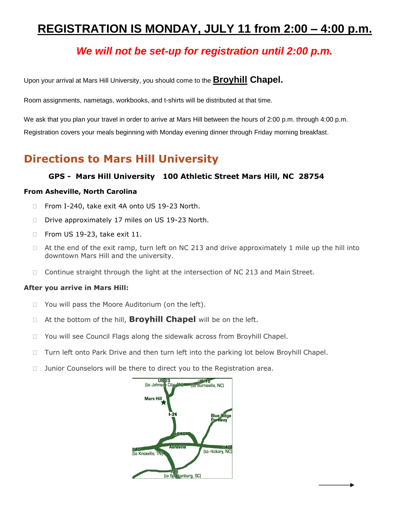# **REGISTRATION IS MONDAY, JULY 11 from 2:00 – 4:00 p.m.**

# *We will not be set-up for registration until 2:00 p.m.*

Upon your arrival at Mars Hill University, you should come to the **Broyhill Chapel.**

Room assignments, nametags, workbooks, and t-shirts will be distributed at that time.

We ask that you plan your travel in order to arrive at Mars Hill between the hours of 2:00 p.m. through 4:00 p.m. Registration covers your meals beginning with Monday evening dinner through Friday morning breakfast.

# **Directions to Mars Hill University**

# **GPS - Mars Hill University 100 Athletic Street Mars Hill, NC 28754**

## **From Asheville, North Carolina**

- □ From I-240, take exit 4A onto US 19-23 North.
- D Drive approximately 17 miles on US 19-23 North.
- □ From US 19-23, take exit 11.
- $\Box$  At the end of the exit ramp, turn left on NC 213 and drive approximately 1 mile up the hill into downtown Mars Hill and the university.
- $\Box$  Continue straight through the light at the intersection of NC 213 and Main Street.

### **After you arrive in Mars Hill:**

- □ You will pass the Moore Auditorium (on the left).
- At the bottom of the hill, **Broyhill Chapel** will be on the left.
- □ You will see Council Flags along the sidewalk across from Broyhill Chapel.
- $\Box$  Turn left onto Park Drive and then turn left into the parking lot below Broyhill Chapel.
- □ Junior Counselors will be there to direct you to the Registration area.

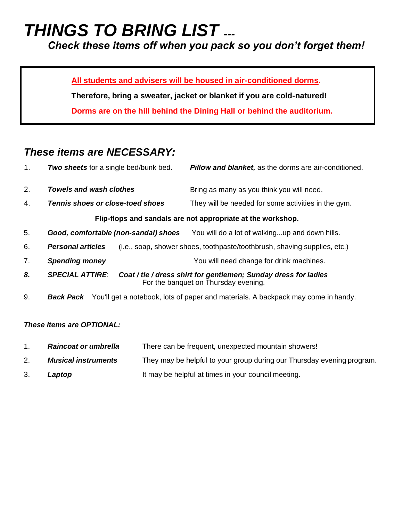# *THINGS TO BRING LIST ---*

*Check these items off when you pack so you don't forget them!*

**All students and advisers will be housed in air-conditioned dorms.** 

**Therefore, bring a sweater, jacket or blanket if you are cold-natured!** 

**Dorms are on the hill behind the Dining Hall or behind the auditorium.** 

# *These items are NECESSARY:*

| 1. | Two sheets for a single bed/bunk bed.                                                                                             | <b>Pillow and blanket, as the dorms are air-conditioned.</b>                      |
|----|-----------------------------------------------------------------------------------------------------------------------------------|-----------------------------------------------------------------------------------|
| 2. | Towels and wash clothes                                                                                                           | Bring as many as you think you will need.                                         |
| 4. | Tennis shoes or close-toed shoes                                                                                                  | They will be needed for some activities in the gym.                               |
|    |                                                                                                                                   | Flip-flops and sandals are not appropriate at the workshop.                       |
| 5. | Good, comfortable (non-sandal) shoes                                                                                              | You will do a lot of walkingup and down hills.                                    |
| 6. | <b>Personal articles</b>                                                                                                          | (i.e., soap, shower shoes, toothpaste/toothbrush, shaving supplies, etc.)         |
| 7. | <b>Spending money</b>                                                                                                             | You will need change for drink machines.                                          |
| 8. | <b>SPECIAL ATTIRE:</b><br>Coat / tie / dress shirt for gentlemen; Sunday dress for ladies<br>For the banquet on Thursday evening. |                                                                                   |
| 9. | Back Pack                                                                                                                         | You'll get a notebook, lots of paper and materials. A backpack may come in handy. |

# *These items are OPTIONAL:*

- 1. *Raincoat or umbrella* There can be frequent, unexpected mountain showers!
- 2. *Musical instruments* They may be helpful to your group during our Thursday evening program.
- 3. **Laptop** It may be helpful at times in your council meeting.